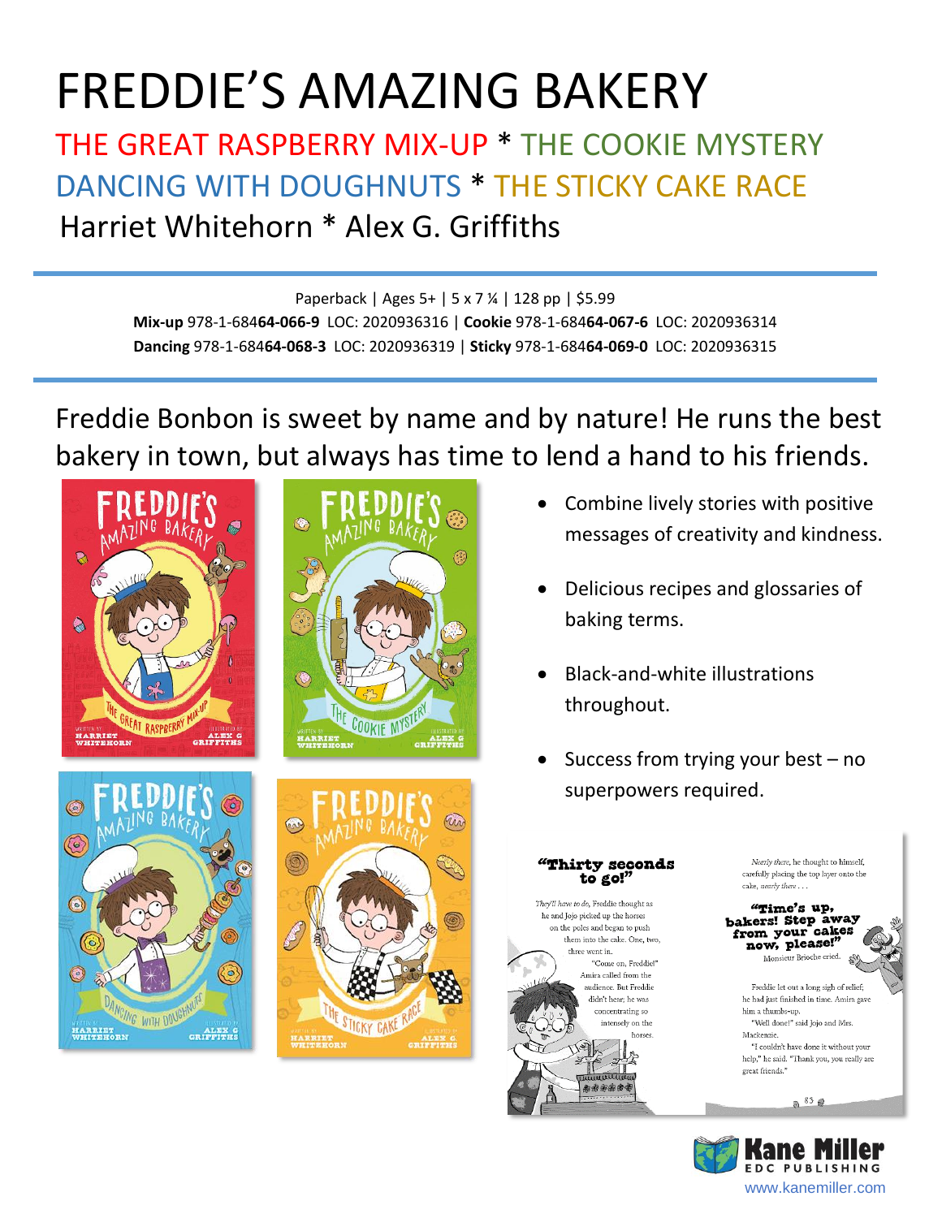# FREDDIE'S AMAZING BAKERY

## THE GREAT RASPBERRY MIX-UP \* THE COOKIE MYSTERY DANCING WITH DOUGHNUTS \* THE STICKY CAKE RACE Harriet Whitehorn \* Alex G. Griffiths

#### Paperback | Ages 5+ | 5 x 7 ¼ | 128 pp | \$5.99

**Mix-up** 978-1-684**64-066-9** LOC: 2020936316 | **Cookie** 978-1-684**64-067-6** LOC: 2020936314 **Dancing** 978-1-684**64-068-3** LOC: 2020936319 | **Sticky** 978-1-684**64-069-0** LOC: 2020936315

Freddie Bonbon is sweet by name and by nature! He runs the best bakery in town, but always has time to lend a hand to his friends.





 $\odot$ ALEX G<br>GRIFFITES



- Combine lively stories with positive messages of creativity and kindness.
- Delicious recipes and glossaries of baking terms.
- Black-and-white illustrations throughout.
- Success from trying your best no superpowers required.